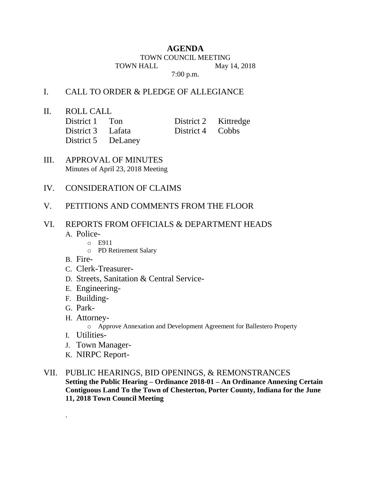## **AGENDA**

TOWN COUNCIL MEETING

TOWN HALL May 14, 2018

7:00 p.m.

## I. CALL TO ORDER & PLEDGE OF ALLEGIANCE

II. ROLL CALL

| District 1 Ton     | District 2 Kittredge |  |
|--------------------|----------------------|--|
| District 3 Lafata  | District 4 Cobbs     |  |
| District 5 DeLaney |                      |  |

- III. APPROVAL OF MINUTES Minutes of April 23, 2018 Meeting
- IV. CONSIDERATION OF CLAIMS
- V. PETITIONS AND COMMENTS FROM THE FLOOR

## VI. REPORTS FROM OFFICIALS & DEPARTMENT HEADS A. Police-

- o E911
- o PD Retirement Salary
- B. Fire-
- C. Clerk-Treasurer-
- D. Streets, Sanitation & Central Service-
- E. Engineering-
- F. Building-
- G. Park-
- H. Attorney
	- o Approve Annexation and Development Agreement for Ballestero Property
- I. Utilities-

.

- J. Town Manager-
- K. NIRPC Report-
- VII. PUBLIC HEARINGS, BID OPENINGS, & REMONSTRANCES **Setting the Public Hearing – Ordinance 2018-01 – An Ordinance Annexing Certain Contiguous Land To the Town of Chesterton, Porter County, Indiana for the June 11, 2018 Town Council Meeting**